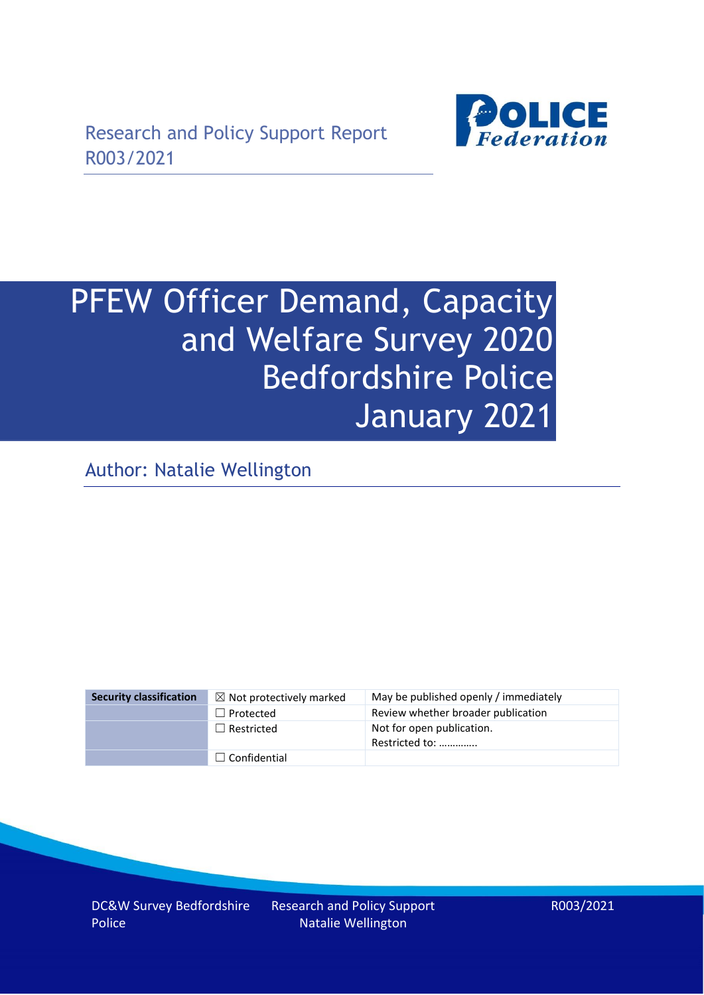

# PFEW Officer Demand, Capacity and Welfare Survey 2020 Bedfordshire Police January 2021

Author: Natalie Wellington

| <b>Security classification</b> | $\boxtimes$ Not protectively marked | May be published openly / immediately       |
|--------------------------------|-------------------------------------|---------------------------------------------|
|                                | $\Box$ Protected                    | Review whether broader publication          |
|                                | $\Box$ Restricted                   | Not for open publication.<br>Restricted to: |
|                                | $\Box$ Confidential                 |                                             |

DC&W Survey Bedfordshire Police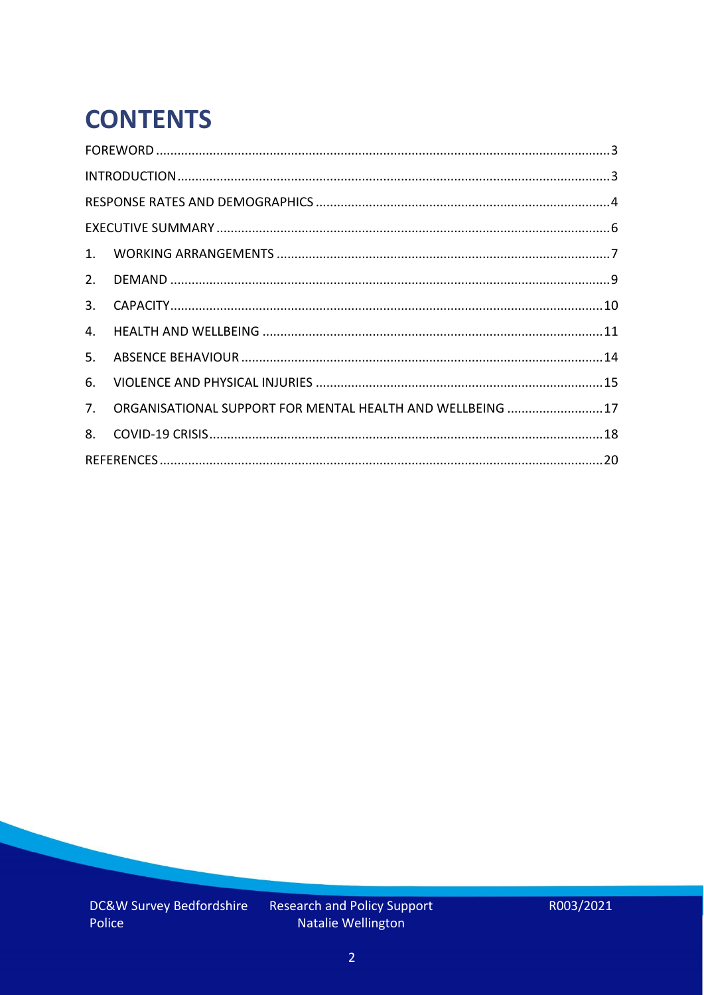# **CONTENTS**

| 2.          |                                                            |  |
|-------------|------------------------------------------------------------|--|
| 3.          |                                                            |  |
| 4.          |                                                            |  |
| 5.          |                                                            |  |
| 6.          |                                                            |  |
| $7_{\cdot}$ | ORGANISATIONAL SUPPORT FOR MENTAL HEALTH AND WELLBEING  17 |  |
| 8.          |                                                            |  |
|             |                                                            |  |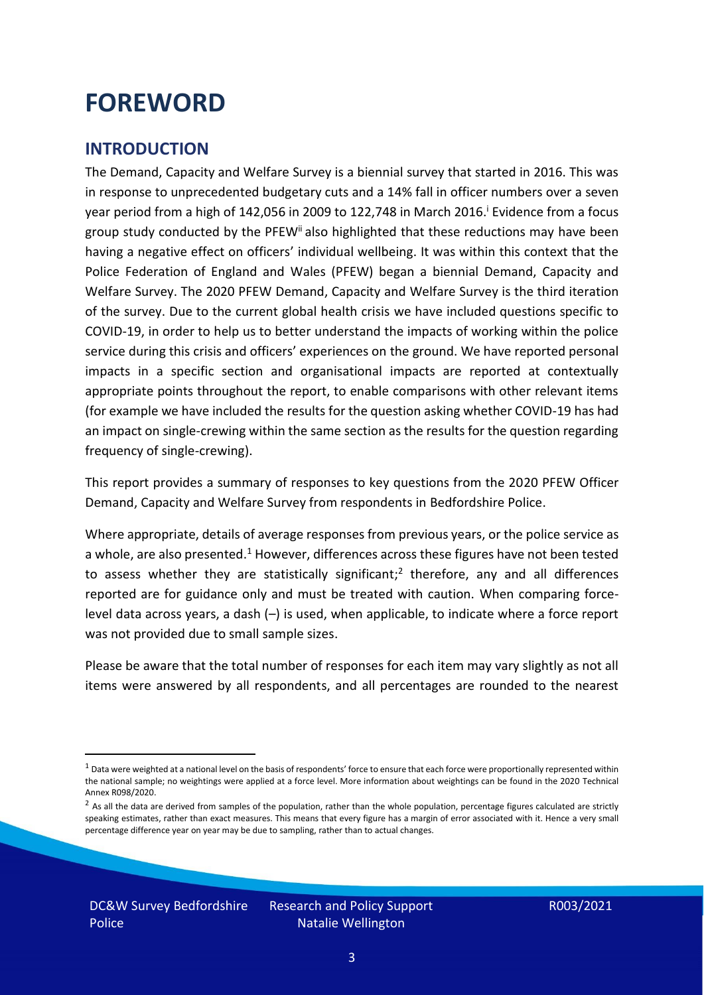### <span id="page-2-0"></span>**FOREWORD**

#### <span id="page-2-1"></span>**INTRODUCTION**

The Demand, Capacity and Welfare Survey is a biennial survey that started in 2016. This was in response to unprecedented budgetary cuts and a 14% fall in officer numbers over a seven year period from a high of 142,056 in 2009 to 122,748 in March 2016. <sup>i</sup> Evidence from a focus group study conducted by the PFEW<sup>ii</sup> also highlighted that these reductions may have been having a negative effect on officers' individual wellbeing. It was within this context that the Police Federation of England and Wales (PFEW) began a biennial Demand, Capacity and Welfare Survey. The 2020 PFEW Demand, Capacity and Welfare Survey is the third iteration of the survey. Due to the current global health crisis we have included questions specific to COVID-19, in order to help us to better understand the impacts of working within the police service during this crisis and officers' experiences on the ground. We have reported personal impacts in a specific section and organisational impacts are reported at contextually appropriate points throughout the report, to enable comparisons with other relevant items (for example we have included the results for the question asking whether COVID-19 has had an impact on single-crewing within the same section as the results for the question regarding frequency of single-crewing).

This report provides a summary of responses to key questions from the 2020 PFEW Officer Demand, Capacity and Welfare Survey from respondents in Bedfordshire Police.

Where appropriate, details of average responses from previous years, or the police service as a whole, are also presented.<sup>1</sup> However, differences across these figures have not been tested to assess whether they are statistically significant;<sup>2</sup> therefore, any and all differences reported are for guidance only and must be treated with caution. When comparing forcelevel data across years, a dash (–) is used, when applicable, to indicate where a force report was not provided due to small sample sizes.

Please be aware that the total number of responses for each item may vary slightly as not all items were answered by all respondents, and all percentages are rounded to the nearest

 $1$  Data were weighted at a national level on the basis of respondents' force to ensure that each force were proportionally represented within the national sample; no weightings were applied at a force level. More information about weightings can be found in the 2020 Technical Annex R098/2020.

 $2$  As all the data are derived from samples of the population, rather than the whole population, percentage figures calculated are strictly speaking estimates, rather than exact measures. This means that every figure has a margin of error associated with it. Hence a very small percentage difference year on year may be due to sampling, rather than to actual changes.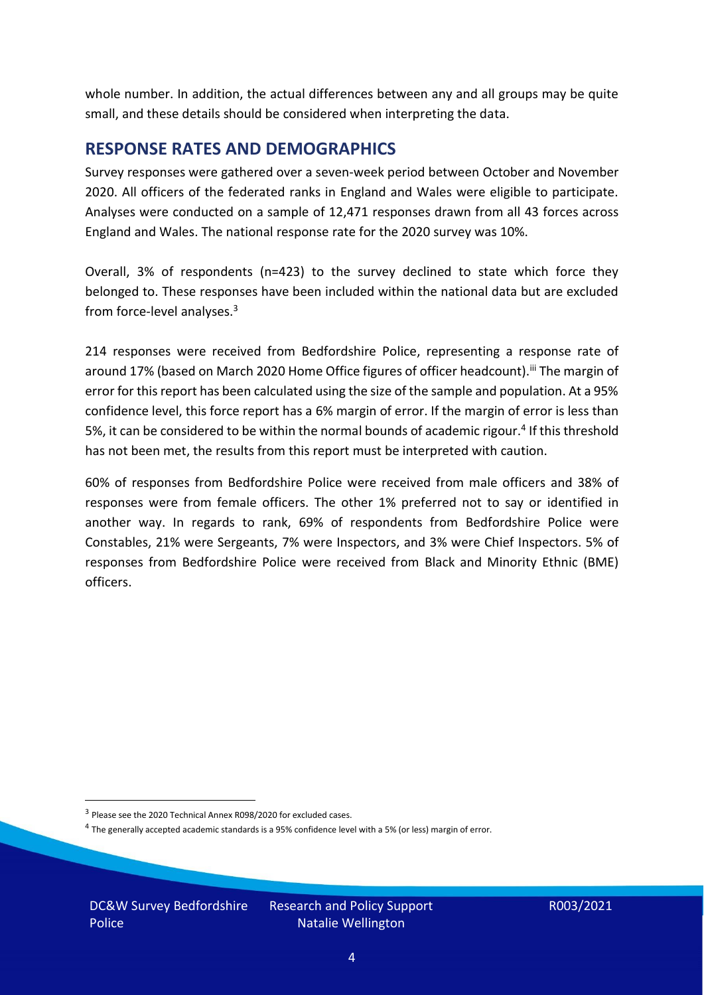whole number. In addition, the actual differences between any and all groups may be quite small, and these details should be considered when interpreting the data.

#### <span id="page-3-0"></span>**RESPONSE RATES AND DEMOGRAPHICS**

Survey responses were gathered over a seven-week period between October and November 2020. All officers of the federated ranks in England and Wales were eligible to participate. Analyses were conducted on a sample of 12,471 responses drawn from all 43 forces across England and Wales. The national response rate for the 2020 survey was 10%.

Overall, 3% of respondents (n=423) to the survey declined to state which force they belonged to. These responses have been included within the national data but are excluded from force-level analyses.<sup>3</sup>

214 responses were received from Bedfordshire Police, representing a response rate of around 17% (based on March 2020 Home Office figures of officer headcount).<sup>iii</sup> The margin of error for this report has been calculated using the size of the sample and population. At a 95% confidence level, this force report has a 6% margin of error. If the margin of error is less than 5%, it can be considered to be within the normal bounds of academic rigour.<sup>4</sup> If this threshold has not been met, the results from this report must be interpreted with caution.

60% of responses from Bedfordshire Police were received from male officers and 38% of responses were from female officers. The other 1% preferred not to say or identified in another way. In regards to rank, 69% of respondents from Bedfordshire Police were Constables, 21% were Sergeants, 7% were Inspectors, and 3% were Chief Inspectors. 5% of responses from Bedfordshire Police were received from Black and Minority Ethnic (BME) officers.

DC&W Survey Bedfordshire Police

<sup>&</sup>lt;sup>3</sup> Please see the 2020 Technical Annex R098/2020 for excluded cases.

<sup>&</sup>lt;sup>4</sup> The generally accepted academic standards is a 95% confidence level with a 5% (or less) margin of error.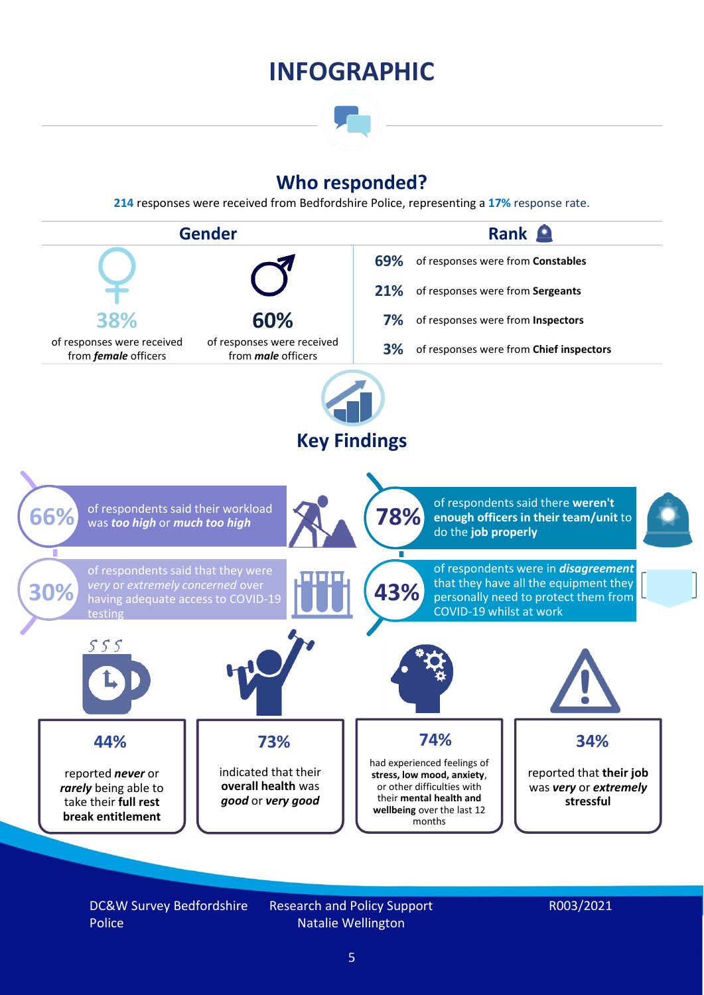### **INFOGRAPHIC**

### **Who responded?**

**214** responses were received from Bedfordshire Police, representing a **17%** response rate.



DC&W Survey Bedfordshire Police

Research and Policy Support Natalie Wellington

#### R003/2021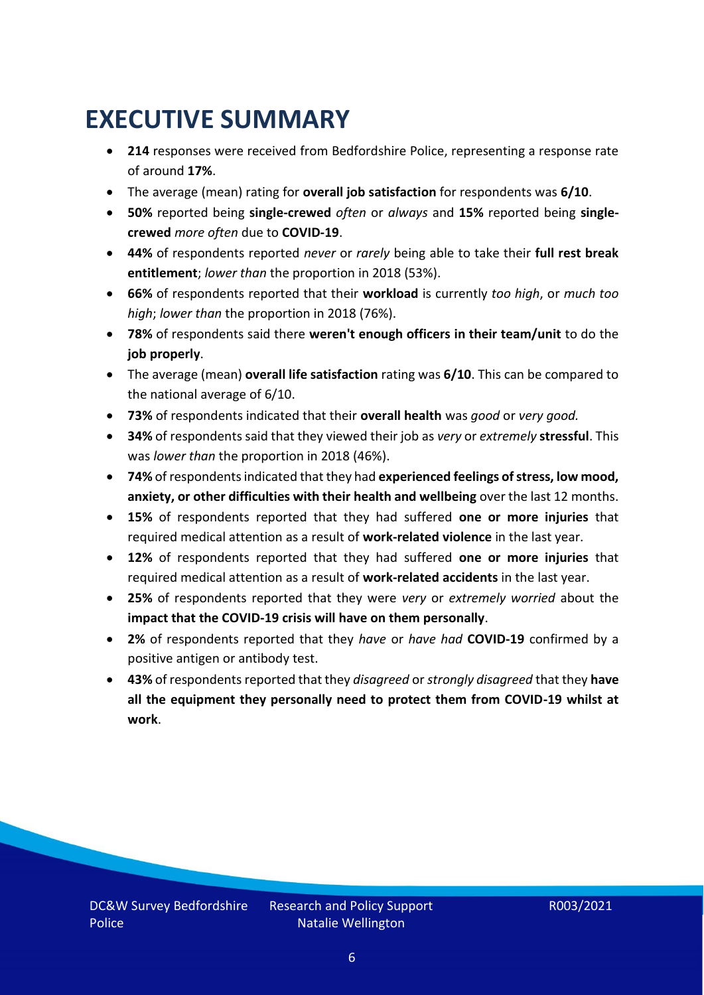## <span id="page-5-0"></span>**EXECUTIVE SUMMARY**

- **214** responses were received from Bedfordshire Police, representing a response rate of around **17%**.
- The average (mean) rating for **overall job satisfaction** for respondents was **6/10**.
- **50%** reported being **single-crewed** *often* or *always* and **15%** reported being **singlecrewed** *more often* due to **COVID-19**.
- **44%** of respondents reported *never* or *rarely* being able to take their **full rest break entitlement**; *lower than* the proportion in 2018 (53%).
- **66%** of respondents reported that their **workload** is currently *too high*, or *much too high*; *lower than* the proportion in 2018 (76%).
- **78%** of respondents said there **weren't enough officers in their team/unit** to do the **job properly**.
- The average (mean) **overall life satisfaction** rating was **6/10**. This can be compared to the national average of 6/10.
- **73%** of respondents indicated that their **overall health** was *good* or *very good.*
- **34%** of respondents said that they viewed their job as *very* or *extremely* **stressful**. This was *lower than* the proportion in 2018 (46%).
- **74%** of respondents indicated that they had **experienced feelings of stress, low mood, anxiety, or other difficulties with their health and wellbeing** over the last 12 months.
- **15%** of respondents reported that they had suffered **one or more injuries** that required medical attention as a result of **work-related violence** in the last year.
- **12%** of respondents reported that they had suffered **one or more injuries** that required medical attention as a result of **work-related accidents** in the last year.
- **25%** of respondents reported that they were *very* or *extremely worried* about the **impact that the COVID-19 crisis will have on them personally**.
- **2%** of respondents reported that they *have* or *have had* **COVID-19** confirmed by a positive antigen or antibody test.
- **43%** of respondents reported that they *disagreed* or *strongly disagreed* that they **have all the equipment they personally need to protect them from COVID-19 whilst at work**.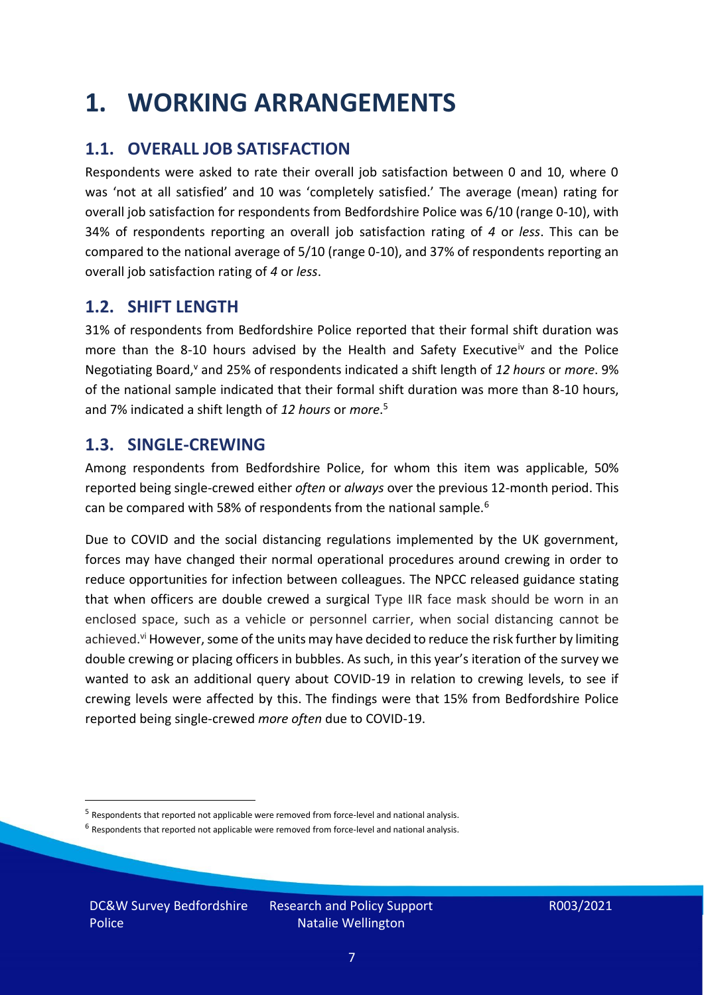### <span id="page-6-0"></span>**1. WORKING ARRANGEMENTS**

### **1.1. OVERALL JOB SATISFACTION**

Respondents were asked to rate their overall job satisfaction between 0 and 10, where 0 was 'not at all satisfied' and 10 was 'completely satisfied.' The average (mean) rating for overall job satisfaction for respondents from Bedfordshire Police was 6/10 (range 0-10), with 34% of respondents reporting an overall job satisfaction rating of *4* or *less*. This can be compared to the national average of 5/10 (range 0-10), and 37% of respondents reporting an overall job satisfaction rating of *4* or *less*.

### **1.2. SHIFT LENGTH**

31% of respondents from Bedfordshire Police reported that their formal shift duration was more than the 8-10 hours advised by the Health and Safety Executive<sup>iv</sup> and the Police Negotiating Board,<sup>v</sup> and 25% of respondents indicated a shift length of 12 hours or *more*. 9% of the national sample indicated that their formal shift duration was more than 8-10 hours, and 7% indicated a shift length of *12 hours* or *more*. 5

#### **1.3. SINGLE-CREWING**

Among respondents from Bedfordshire Police, for whom this item was applicable, 50% reported being single-crewed either *often* or *always* over the previous 12-month period. This can be compared with 58% of respondents from the national sample.<sup>6</sup>

Due to COVID and the social distancing regulations implemented by the UK government, forces may have changed their normal operational procedures around crewing in order to reduce opportunities for infection between colleagues. The NPCC released guidance stating that when officers are double crewed a surgical Type IIR face mask should be worn in an enclosed space, such as a vehicle or personnel carrier, when social distancing cannot be achieved.<sup>vi</sup> However, some of the units may have decided to reduce the risk further by limiting double crewing or placing officers in bubbles. As such, in this year's iteration of the survey we wanted to ask an additional query about COVID-19 in relation to crewing levels, to see if crewing levels were affected by this. The findings were that 15% from Bedfordshire Police reported being single-crewed *more often* due to COVID-19.

 $<sup>6</sup>$  Respondents that reported not applicable were removed from force-level and national analysis.</sup>

DC&W Survey Bedfordshire Police

<sup>&</sup>lt;sup>5</sup> Respondents that reported not applicable were removed from force-level and national analysis.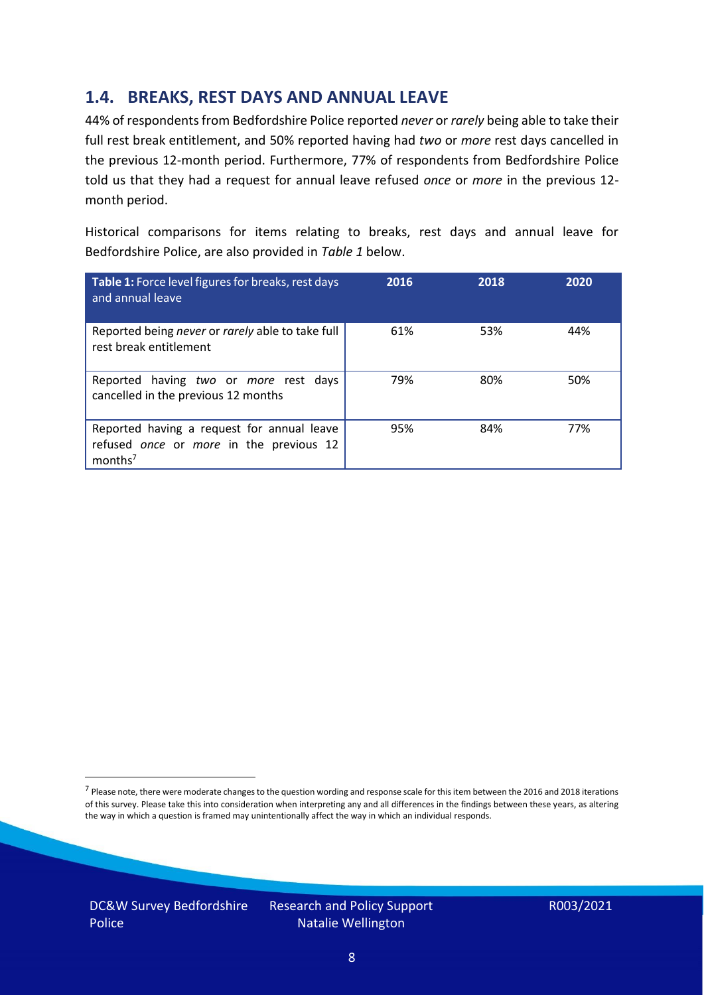### **1.4. BREAKS, REST DAYS AND ANNUAL LEAVE**

44% of respondents from Bedfordshire Police reported *never* or *rarely* being able to take their full rest break entitlement, and 50% reported having had *two* or *more* rest days cancelled in the previous 12-month period. Furthermore, 77% of respondents from Bedfordshire Police told us that they had a request for annual leave refused *once* or *more* in the previous 12 month period.

Historical comparisons for items relating to breaks, rest days and annual leave for Bedfordshire Police, are also provided in *Table 1* below.

| Table 1: Force level figures for breaks, rest days<br>and annual leave                                       | 2016 | 2018 | 2020 |
|--------------------------------------------------------------------------------------------------------------|------|------|------|
| Reported being never or rarely able to take full<br>rest break entitlement                                   | 61%  | 53%  | 44%  |
| Reported having two or more rest days<br>cancelled in the previous 12 months                                 | 79%  | 80%  | 50%  |
| Reported having a request for annual leave<br>refused once or more in the previous 12<br>months <sup>7</sup> | 95%  | 84%  | 77%  |

DC&W Survey Bedfordshire Police

<sup>&</sup>lt;sup>7</sup> Please note, there were moderate changes to the question wording and response scale for this item between the 2016 and 2018 iterations of this survey. Please take this into consideration when interpreting any and all differences in the findings between these years, as altering the way in which a question is framed may unintentionally affect the way in which an individual responds.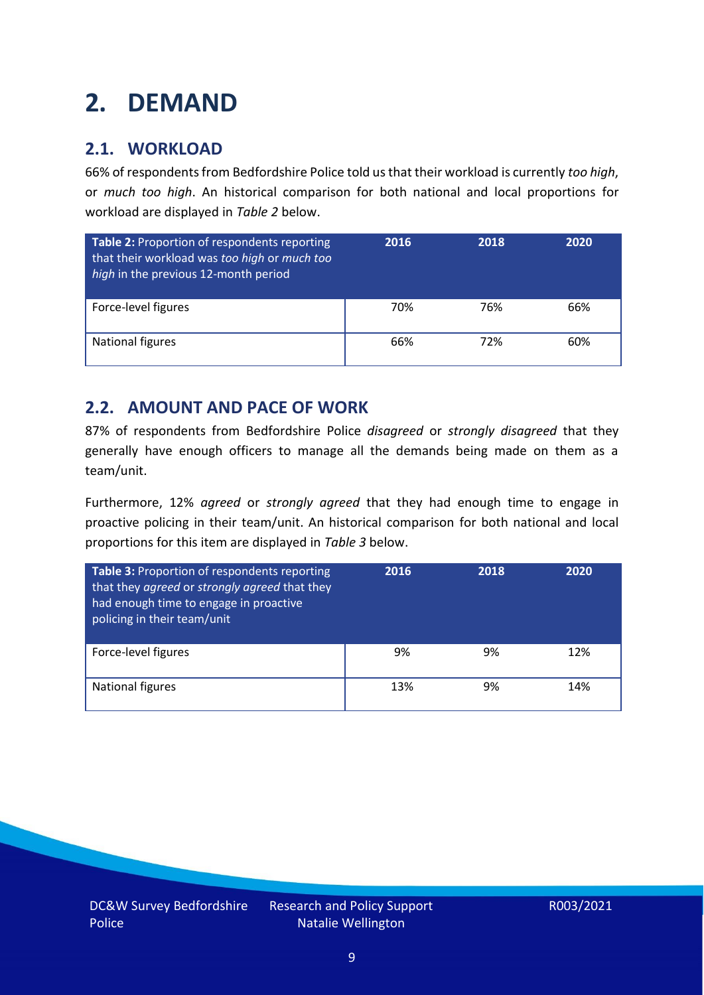# <span id="page-8-0"></span>**2. DEMAND**

### **2.1. WORKLOAD**

66% of respondents from Bedfordshire Police told us that their workload is currently *too high*, or *much too high*. An historical comparison for both national and local proportions for workload are displayed in *Table 2* below.

| Table 2: Proportion of respondents reporting<br>that their workload was too high or much too<br>high in the previous 12-month period | 2016 | 2018 | 2020 |
|--------------------------------------------------------------------------------------------------------------------------------------|------|------|------|
| Force-level figures                                                                                                                  | 70%  | 76%  | 66%  |
| National figures                                                                                                                     | 66%  | 72%  | 60%  |

### **2.2. AMOUNT AND PACE OF WORK**

87% of respondents from Bedfordshire Police *disagreed* or *strongly disagreed* that they generally have enough officers to manage all the demands being made on them as a team/unit.

Furthermore, 12% *agreed* or *strongly agreed* that they had enough time to engage in proactive policing in their team/unit. An historical comparison for both national and local proportions for this item are displayed in *Table 3* below.

| Table 3: Proportion of respondents reporting<br>that they agreed or strongly agreed that they<br>had enough time to engage in proactive<br>policing in their team/unit | 2016 | 2018 | 2020 |
|------------------------------------------------------------------------------------------------------------------------------------------------------------------------|------|------|------|
| Force-level figures                                                                                                                                                    | 9%   | 9%   | 12%  |
| National figures                                                                                                                                                       | 13%  | 9%   | 14%  |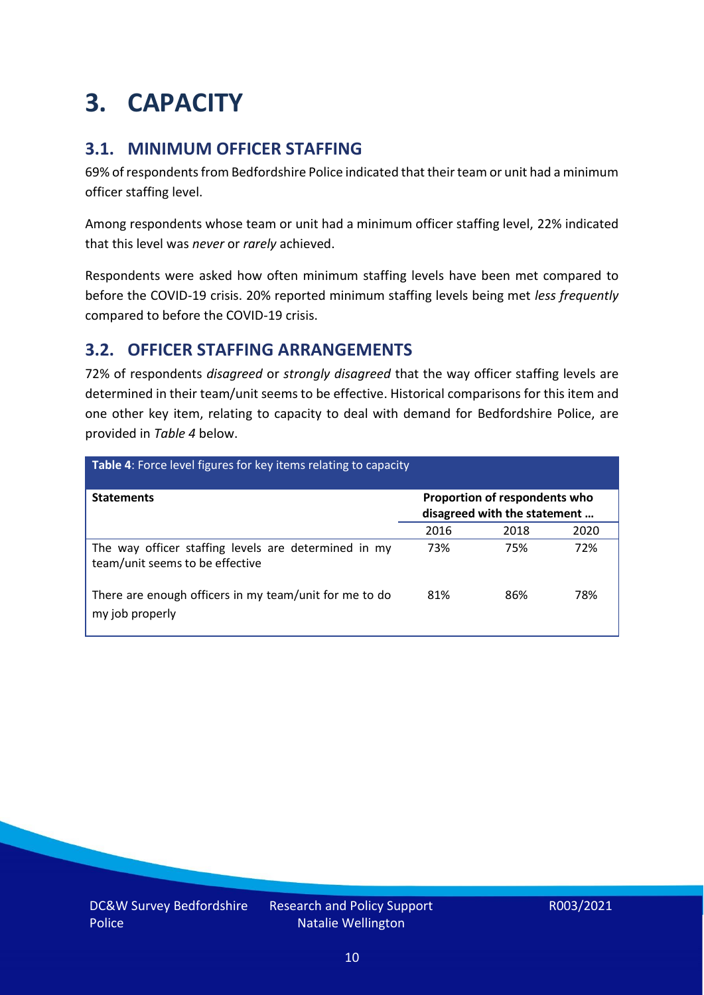# <span id="page-9-0"></span>**3. CAPACITY**

### **3.1. MINIMUM OFFICER STAFFING**

69% of respondents from Bedfordshire Police indicated that their team or unit had a minimum officer staffing level.

Among respondents whose team or unit had a minimum officer staffing level, 22% indicated that this level was *never* or *rarely* achieved.

Respondents were asked how often minimum staffing levels have been met compared to before the COVID-19 crisis. 20% reported minimum staffing levels being met *less frequently* compared to before the COVID-19 crisis.

### **3.2. OFFICER STAFFING ARRANGEMENTS**

72% of respondents *disagreed* or *strongly disagreed* that the way officer staffing levels are determined in their team/unit seems to be effective. Historical comparisons for this item and one other key item, relating to capacity to deal with demand for Bedfordshire Police, are provided in *Table 4* below.

| Table 4: Force level figures for key items relating to capacity                         |      |                                                               |      |  |
|-----------------------------------------------------------------------------------------|------|---------------------------------------------------------------|------|--|
| <b>Statements</b>                                                                       |      | Proportion of respondents who<br>disagreed with the statement |      |  |
|                                                                                         | 2016 | 2018                                                          | 2020 |  |
| The way officer staffing levels are determined in my<br>team/unit seems to be effective | 73%  | 75%                                                           | 72%  |  |
| There are enough officers in my team/unit for me to do<br>my job properly               | 81%  | 86%                                                           | 78%  |  |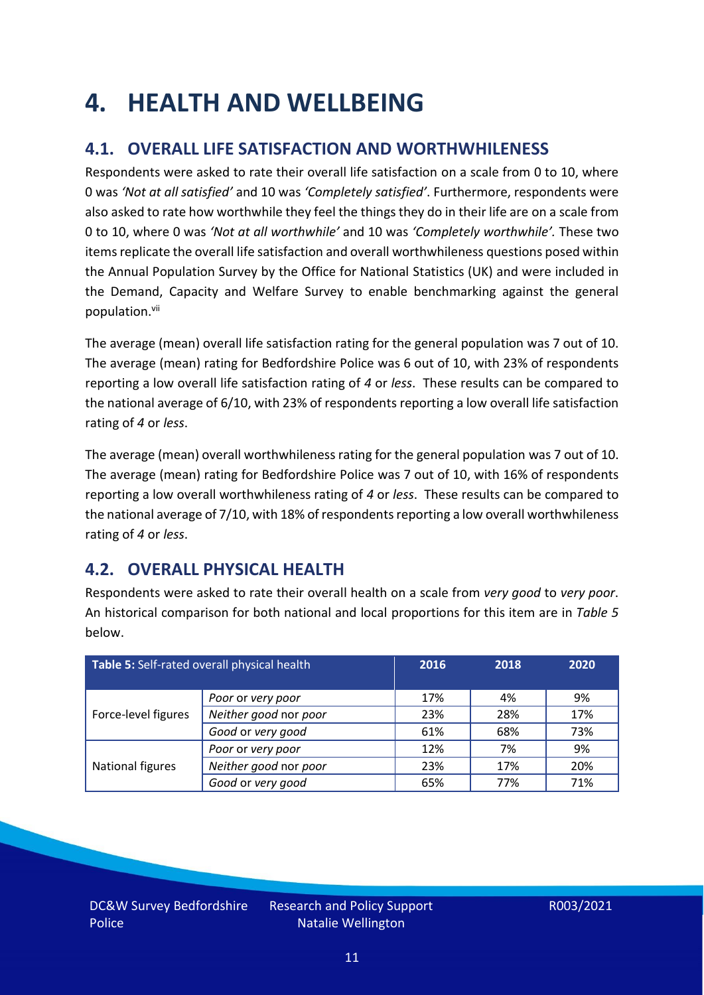### <span id="page-10-0"></span>**4. HEALTH AND WELLBEING**

### **4.1. OVERALL LIFE SATISFACTION AND WORTHWHILENESS**

Respondents were asked to rate their overall life satisfaction on a scale from 0 to 10, where 0 was *'Not at all satisfied'* and 10 was *'Completely satisfied'*. Furthermore, respondents were also asked to rate how worthwhile they feel the things they do in their life are on a scale from 0 to 10, where 0 was *'Not at all worthwhile'* and 10 was *'Completely worthwhile'.* These two items replicate the overall life satisfaction and overall worthwhileness questions posed within the Annual Population Survey by the Office for National Statistics (UK) and were included in the Demand, Capacity and Welfare Survey to enable benchmarking against the general population. vii

The average (mean) overall life satisfaction rating for the general population was 7 out of 10. The average (mean) rating for Bedfordshire Police was 6 out of 10, with 23% of respondents reporting a low overall life satisfaction rating of *4* or *less*. These results can be compared to the national average of 6/10, with 23% of respondents reporting a low overall life satisfaction rating of *4* or *less*.

The average (mean) overall worthwhileness rating for the general population was 7 out of 10. The average (mean) rating for Bedfordshire Police was 7 out of 10, with 16% of respondents reporting a low overall worthwhileness rating of *4* or *less*. These results can be compared to the national average of 7/10, with 18% of respondents reporting a low overall worthwhileness rating of *4* or *less*.

### **4.2. OVERALL PHYSICAL HEALTH**

Respondents were asked to rate their overall health on a scale from *very good* to *very poor*. An historical comparison for both national and local proportions for this item are in *Table 5* below.

| Table 5: Self-rated overall physical health |                       | 2016 | 2018 | 2020 |
|---------------------------------------------|-----------------------|------|------|------|
|                                             | Poor or very poor     | 17%  | 4%   | 9%   |
| Force-level figures                         | Neither good nor poor | 23%  | 28%  | 17%  |
|                                             | Good or very good     | 61%  | 68%  | 73%  |
|                                             | Poor or very poor     | 12%  | 7%   | 9%   |
| National figures                            | Neither good nor poor | 23%  | 17%  | 20%  |
|                                             | Good or very good     | 65%  | 77%  | 71%  |

DC&W Survey Bedfordshire Police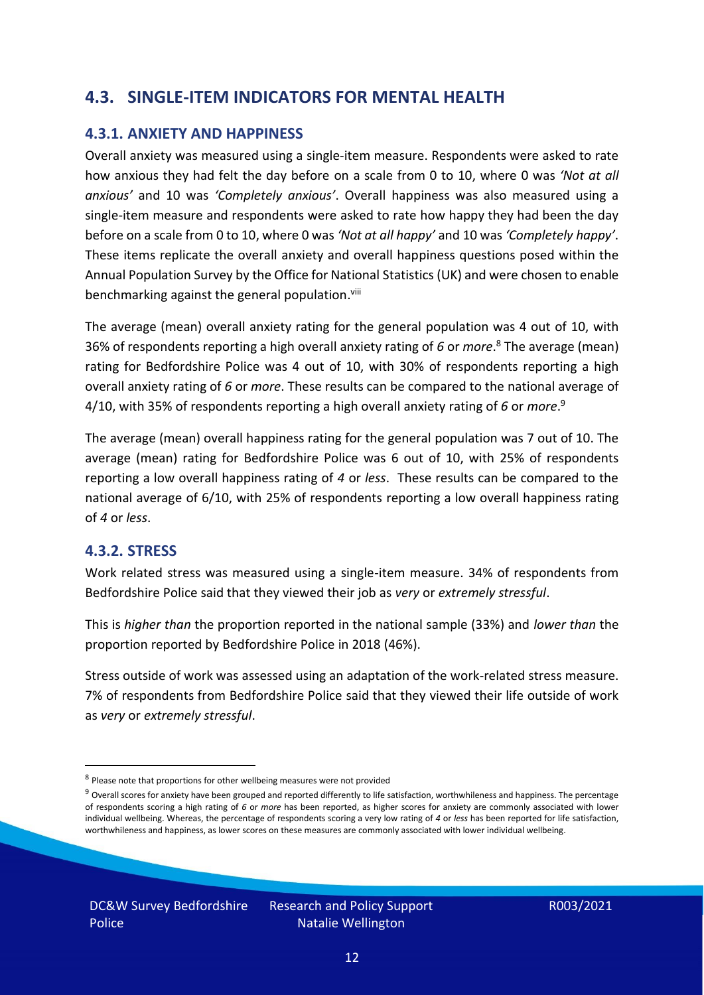### **4.3. SINGLE-ITEM INDICATORS FOR MENTAL HEALTH**

#### **4.3.1. ANXIETY AND HAPPINESS**

Overall anxiety was measured using a single-item measure. Respondents were asked to rate how anxious they had felt the day before on a scale from 0 to 10, where 0 was *'Not at all anxious'* and 10 was *'Completely anxious'*. Overall happiness was also measured using a single-item measure and respondents were asked to rate how happy they had been the day before on a scale from 0 to 10, where 0 was *'Not at all happy'* and 10 was *'Completely happy'*. These items replicate the overall anxiety and overall happiness questions posed within the Annual Population Survey by the Office for National Statistics (UK) and were chosen to enable benchmarking against the general population.<sup>viii</sup>

The average (mean) overall anxiety rating for the general population was 4 out of 10, with 36% of respondents reporting a high overall anxiety rating of *6* or *more*. <sup>8</sup> The average (mean) rating for Bedfordshire Police was 4 out of 10, with 30% of respondents reporting a high overall anxiety rating of *6* or *more*. These results can be compared to the national average of 4/10, with 35% of respondents reporting a high overall anxiety rating of *6* or *more*. 9

The average (mean) overall happiness rating for the general population was 7 out of 10. The average (mean) rating for Bedfordshire Police was 6 out of 10, with 25% of respondents reporting a low overall happiness rating of *4* or *less*. These results can be compared to the national average of 6/10, with 25% of respondents reporting a low overall happiness rating of *4* or *less*.

#### **4.3.2. STRESS**

Work related stress was measured using a single-item measure. 34% of respondents from Bedfordshire Police said that they viewed their job as *very* or *extremely stressful*.

This is *higher than* the proportion reported in the national sample (33%) and *lower than* the proportion reported by Bedfordshire Police in 2018 (46%).

Stress outside of work was assessed using an adaptation of the work-related stress measure. 7% of respondents from Bedfordshire Police said that they viewed their life outside of work as *very* or *extremely stressful*.

<sup>&</sup>lt;sup>8</sup> Please note that proportions for other wellbeing measures were not provided

 $9$  Overall scores for anxiety have been grouped and reported differently to life satisfaction, worthwhileness and happiness. The percentage of respondents scoring a high rating of *6* or *more* has been reported, as higher scores for anxiety are commonly associated with lower individual wellbeing. Whereas, the percentage of respondents scoring a very low rating of *4* or *less* has been reported for life satisfaction, worthwhileness and happiness, as lower scores on these measures are commonly associated with lower individual wellbeing.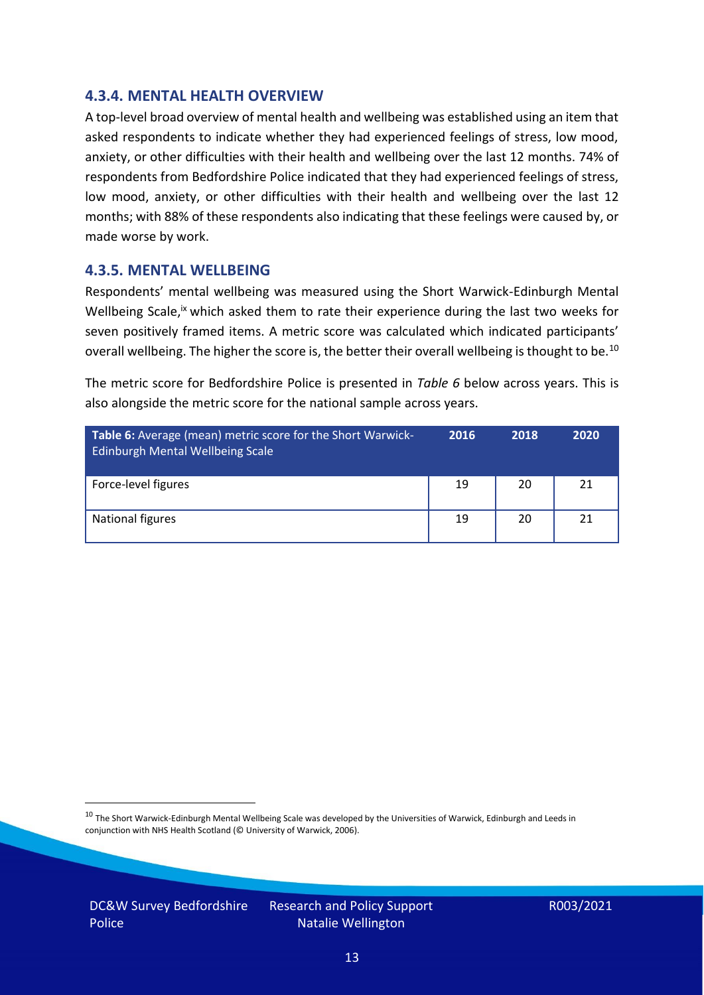#### **4.3.4. MENTAL HEALTH OVERVIEW**

A top-level broad overview of mental health and wellbeing was established using an item that asked respondents to indicate whether they had experienced feelings of stress, low mood, anxiety, or other difficulties with their health and wellbeing over the last 12 months. 74% of respondents from Bedfordshire Police indicated that they had experienced feelings of stress, low mood, anxiety, or other difficulties with their health and wellbeing over the last 12 months; with 88% of these respondents also indicating that these feelings were caused by, or made worse by work.

#### **4.3.5. MENTAL WELLBEING**

Respondents' mental wellbeing was measured using the Short Warwick-Edinburgh Mental Wellbeing Scale,<sup>ix</sup> which asked them to rate their experience during the last two weeks for seven positively framed items. A metric score was calculated which indicated participants' overall wellbeing. The higher the score is, the better their overall wellbeing is thought to be.<sup>10</sup>

The metric score for Bedfordshire Police is presented in *Table 6* below across years. This is also alongside the metric score for the national sample across years.

| <b>Table 6:</b> Average (mean) metric score for the Short Warwick-<br>Edinburgh Mental Wellbeing Scale | 2016 | 2018 | 2020 |
|--------------------------------------------------------------------------------------------------------|------|------|------|
| Force-level figures                                                                                    | 19   | 20   | 21   |
| National figures                                                                                       | 19   | 20   | 21   |

 $10$  The Short Warwick-Edinburgh Mental Wellbeing Scale was developed by the Universities of Warwick, Edinburgh and Leeds in conjunction with NHS Health Scotland (© University of Warwick, 2006).

DC&W Survey Bedfordshire Police

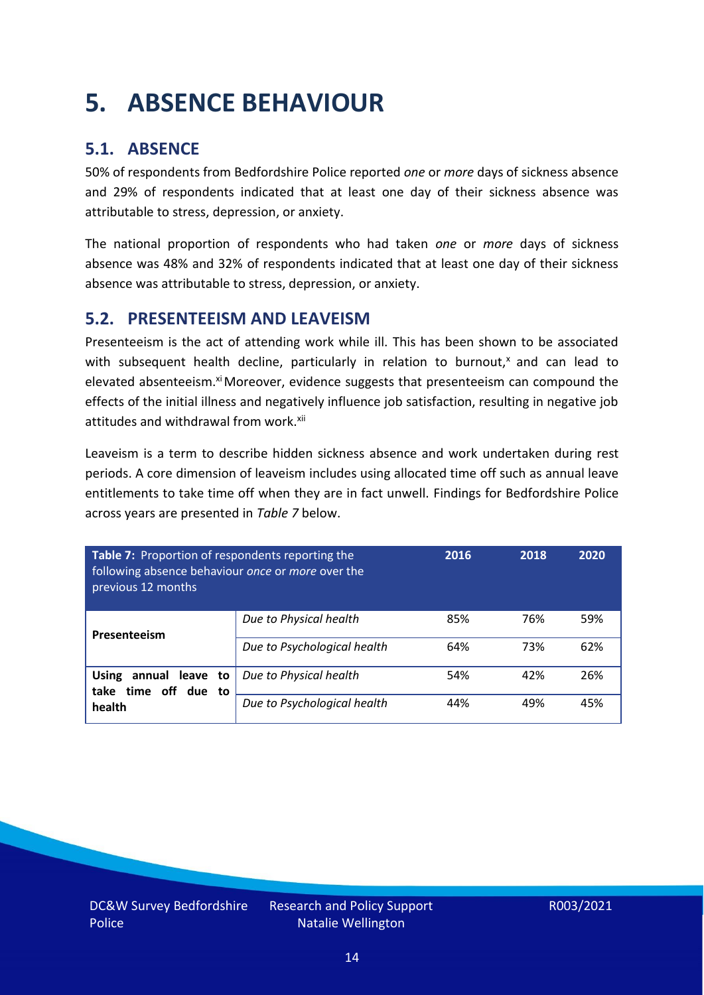# <span id="page-13-0"></span>**5. ABSENCE BEHAVIOUR**

### **5.1. ABSENCE**

50% of respondents from Bedfordshire Police reported *one* or *more* days of sickness absence and 29% of respondents indicated that at least one day of their sickness absence was attributable to stress, depression, or anxiety.

The national proportion of respondents who had taken *one* or *more* days of sickness absence was 48% and 32% of respondents indicated that at least one day of their sickness absence was attributable to stress, depression, or anxiety.

#### **5.2. PRESENTEEISM AND LEAVEISM**

Presenteeism is the act of attending work while ill. This has been shown to be associated with subsequent health decline, particularly in relation to burnout, $x$  and can lead to elevated absenteeism.<sup>xi</sup> Moreover, evidence suggests that presenteeism can compound the effects of the initial illness and negatively influence job satisfaction, resulting in negative job attitudes and withdrawal from work.<sup>xii</sup>

Leaveism is a term to describe hidden sickness absence and work undertaken during rest periods. A core dimension of leaveism includes using allocated time off such as annual leave entitlements to take time off when they are in fact unwell. Findings for Bedfordshire Police across years are presented in *Table 7* below.

| Table 7: Proportion of respondents reporting the<br>following absence behaviour once or more over the<br>previous 12 months |                             | 2016 | 2018 | 2020 |
|-----------------------------------------------------------------------------------------------------------------------------|-----------------------------|------|------|------|
| Presenteeism                                                                                                                | Due to Physical health      | 85%  | 76%  | 59%  |
|                                                                                                                             | Due to Psychological health | 64%  | 73%  | 62%  |
| annual leave to<br><b>Using</b><br>time off due to<br>take                                                                  | Due to Physical health      | 54%  | 42%  | 26%  |
| health                                                                                                                      | Due to Psychological health | 44%  | 49%  | 45%  |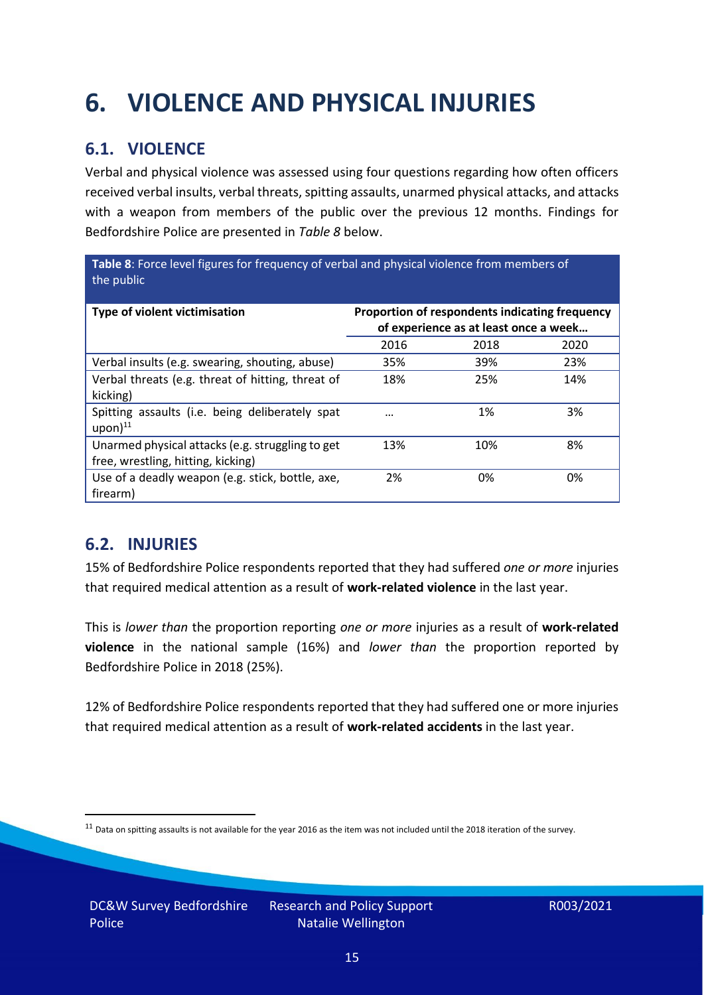# <span id="page-14-0"></span>**6. VIOLENCE AND PHYSICAL INJURIES**

### **6.1. VIOLENCE**

Verbal and physical violence was assessed using four questions regarding how often officers received verbal insults, verbal threats, spitting assaults, unarmed physical attacks, and attacks with a weapon from members of the public over the previous 12 months. Findings for Bedfordshire Police are presented in *Table 8* below.

**Table 8**: Force level figures for frequency of verbal and physical violence from members of the public

| Type of violent victimisation                                                          | Proportion of respondents indicating frequency<br>of experience as at least once a week |      |      |
|----------------------------------------------------------------------------------------|-----------------------------------------------------------------------------------------|------|------|
|                                                                                        | 2016                                                                                    | 2018 | 2020 |
| Verbal insults (e.g. swearing, shouting, abuse)                                        | 35%                                                                                     | 39%  | 23%  |
| Verbal threats (e.g. threat of hitting, threat of<br>kicking)                          | 18%                                                                                     | 25%  | 14%  |
| Spitting assaults (i.e. being deliberately spat<br>$upon)$ <sup>11</sup>               | $\cdots$                                                                                | 1%   | 3%   |
| Unarmed physical attacks (e.g. struggling to get<br>free, wrestling, hitting, kicking) | 13%                                                                                     | 10%  | 8%   |
| Use of a deadly weapon (e.g. stick, bottle, axe,<br>firearm)                           | 2%                                                                                      | 0%   | 0%   |

### **6.2. INJURIES**

15% of Bedfordshire Police respondents reported that they had suffered *one or more* injuries that required medical attention as a result of **work-related violence** in the last year.

This is *lower than* the proportion reporting *one or more* injuries as a result of **work-related violence** in the national sample (16%) and *lower than* the proportion reported by Bedfordshire Police in 2018 (25%).

12% of Bedfordshire Police respondents reported that they had suffered one or more injuries that required medical attention as a result of **work-related accidents** in the last year.

 $11$  Data on spitting assaults is not available for the year 2016 as the item was not included until the 2018 iteration of the survey.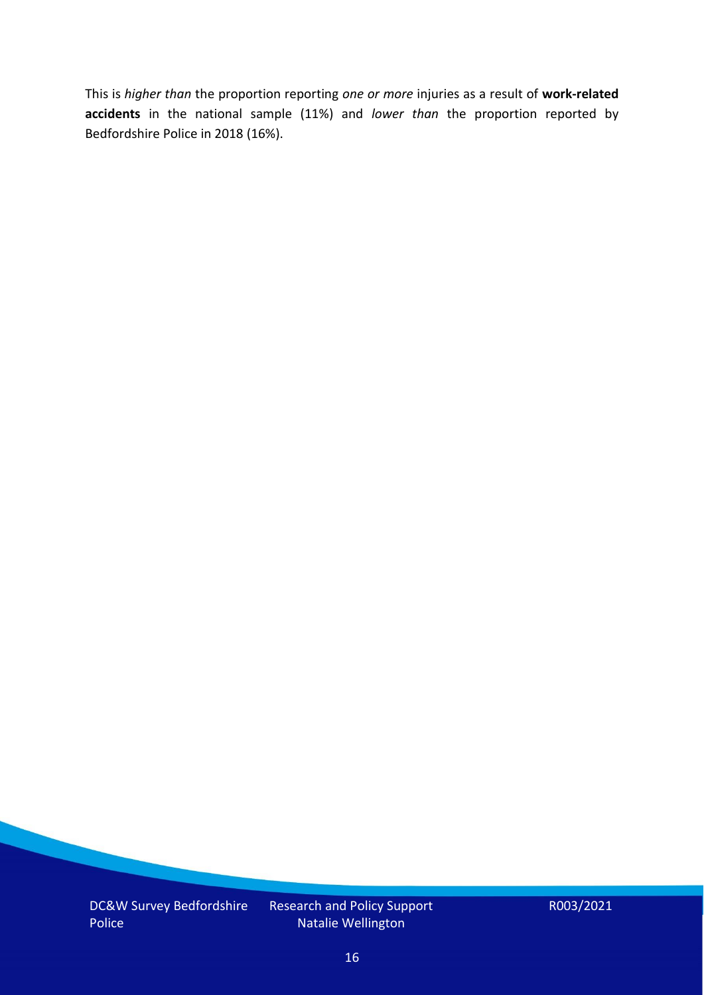This is *higher than* the proportion reporting *one or more* injuries as a result of **work-related accidents** in the national sample (11%) and *lower than* the proportion reported by Bedfordshire Police in 2018 (16%).

DC&W Survey Bedfordshire Police

Research and Policy Support Natalie Wellington

R003/2021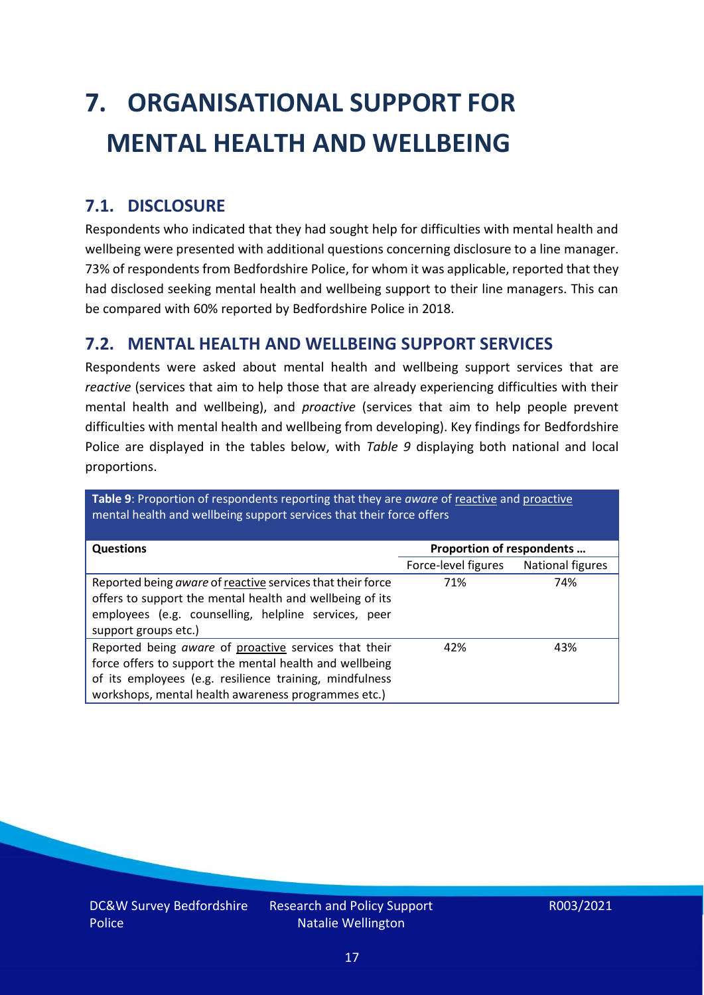# <span id="page-16-0"></span>**7. ORGANISATIONAL SUPPORT FOR MENTAL HEALTH AND WELLBEING**

### **7.1. DISCLOSURE**

Respondents who indicated that they had sought help for difficulties with mental health and wellbeing were presented with additional questions concerning disclosure to a line manager. 73% of respondents from Bedfordshire Police, for whom it was applicable, reported that they had disclosed seeking mental health and wellbeing support to their line managers. This can be compared with 60% reported by Bedfordshire Police in 2018.

### **7.2. MENTAL HEALTH AND WELLBEING SUPPORT SERVICES**

Respondents were asked about mental health and wellbeing support services that are *reactive* (services that aim to help those that are already experiencing difficulties with their mental health and wellbeing), and *proactive* (services that aim to help people prevent difficulties with mental health and wellbeing from developing). Key findings for Bedfordshire Police are displayed in the tables below, with *Table 9* displaying both national and local proportions.

**Table 9**: Proportion of respondents reporting that they are *aware* of reactive and proactive mental health and wellbeing support services that their force offers

| <b>Questions</b>                                           | Proportion of respondents |                  |  |
|------------------------------------------------------------|---------------------------|------------------|--|
|                                                            |                           |                  |  |
|                                                            | Force-level figures       | National figures |  |
| Reported being aware of reactive services that their force | 71%                       | 74%              |  |
| offers to support the mental health and wellbeing of its   |                           |                  |  |
| employees (e.g. counselling, helpline services, peer       |                           |                  |  |
|                                                            |                           |                  |  |
| support groups etc.)                                       |                           |                  |  |
| Reported being aware of proactive services that their      | 42%                       | 43%              |  |
| force offers to support the mental health and wellbeing    |                           |                  |  |
| of its employees (e.g. resilience training, mindfulness    |                           |                  |  |
| workshops, mental health awareness programmes etc.)        |                           |                  |  |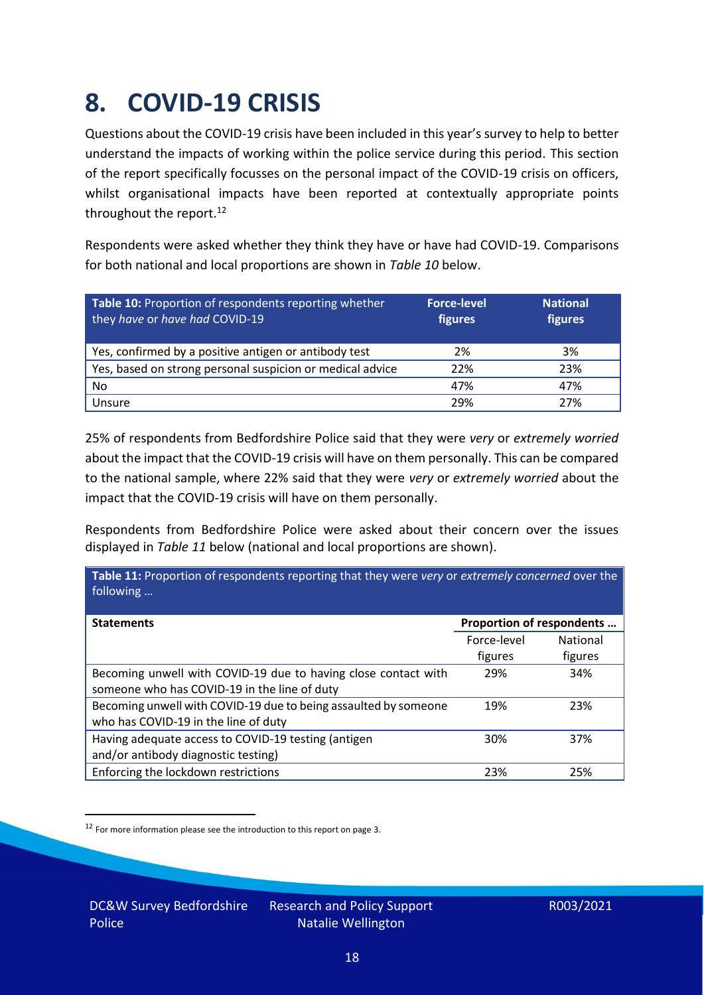### <span id="page-17-0"></span>**8. COVID-19 CRISIS**

Questions about the COVID-19 crisis have been included in this year's survey to help to better understand the impacts of working within the police service during this period. This section of the report specifically focusses on the personal impact of the COVID-19 crisis on officers, whilst organisational impacts have been reported at contextually appropriate points throughout the report.<sup>12</sup>

Respondents were asked whether they think they have or have had COVID-19. Comparisons for both national and local proportions are shown in *Table 10* below.

| Table 10: Proportion of respondents reporting whether<br>they have or have had COVID-19 | <b>Force-level</b><br>figures | <b>National</b><br>figures |
|-----------------------------------------------------------------------------------------|-------------------------------|----------------------------|
| Yes, confirmed by a positive antigen or antibody test                                   | 2%                            | 3%                         |
| Yes, based on strong personal suspicion or medical advice                               | 22%                           | 23%                        |
| No                                                                                      | 47%                           | 47%                        |
| Unsure                                                                                  | 29%                           | 27%                        |

25% of respondents from Bedfordshire Police said that they were *very* or *extremely worried* about the impact that the COVID-19 crisis will have on them personally. This can be compared to the national sample, where 22% said that they were *very* or *extremely worried* about the impact that the COVID-19 crisis will have on them personally.

Respondents from Bedfordshire Police were asked about their concern over the issues displayed in *Table 11* below (national and local proportions are shown).

| Table 11: Proportion of respondents reporting that they were very or extremely concerned over the<br>following |                           |                 |
|----------------------------------------------------------------------------------------------------------------|---------------------------|-----------------|
| <b>Statements</b>                                                                                              | Proportion of respondents |                 |
|                                                                                                                | Force-level               | <b>National</b> |
|                                                                                                                | figures                   | figures         |
| Becoming unwell with COVID-19 due to having close contact with<br>someone who has COVID-19 in the line of duty | 29%                       | 34%             |
| Becoming unwell with COVID-19 due to being assaulted by someone<br>who has COVID-19 in the line of duty        | 19%                       | 23%             |
| Having adequate access to COVID-19 testing (antigen<br>and/or antibody diagnostic testing)                     | 30%                       | 37%             |
| Enforcing the lockdown restrictions                                                                            | 23%                       | 25%             |

<sup>12</sup> For more information please see the introduction to this report on page 3.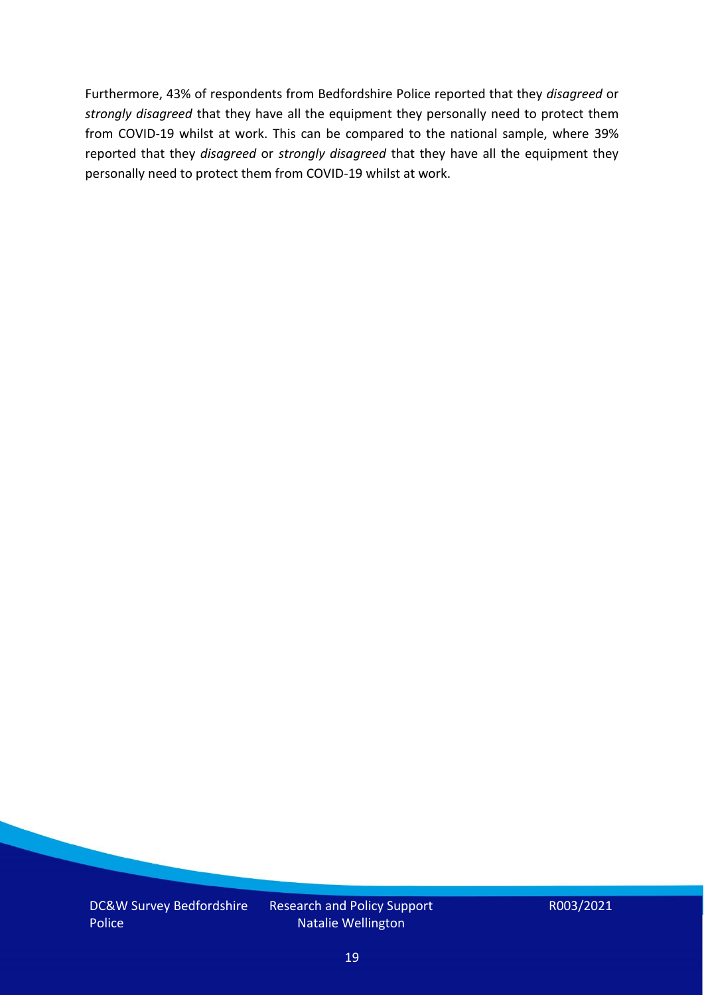Furthermore, 43% of respondents from Bedfordshire Police reported that they *disagreed* or *strongly disagreed* that they have all the equipment they personally need to protect them from COVID-19 whilst at work. This can be compared to the national sample, where 39% reported that they *disagreed* or *strongly disagreed* that they have all the equipment they personally need to protect them from COVID-19 whilst at work.

DC&W Survey Bedfordshire Police

Research and Policy Support Natalie Wellington

R003/2021